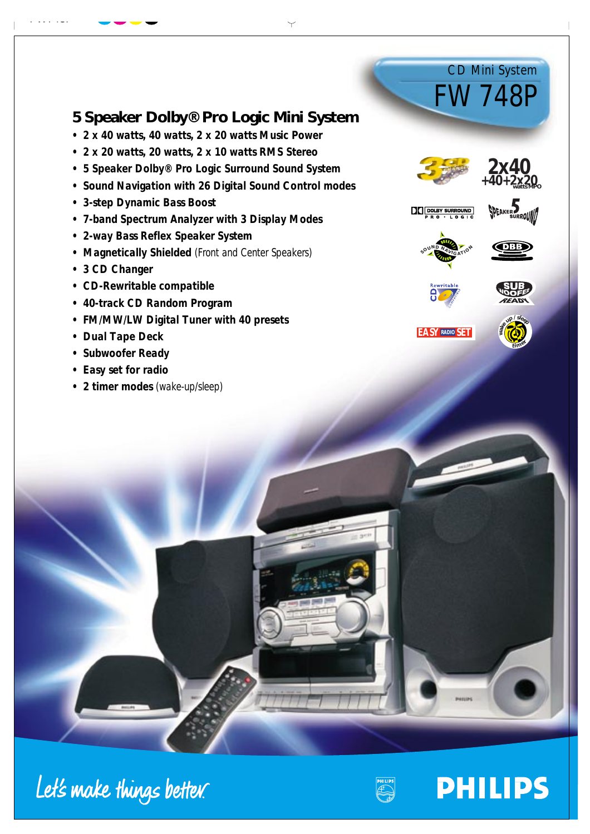# **EASY RADIO SET W P** *M* **E P E P E P E P E P E P E P E P E D D time<sup>r</sup>** *• CD-Rewritable compatible • 40-track CD Random Program • FM/MW/LW Digital Tuner with 40 presets • Dual Tape Deck • Subwoofer Ready • Easy set for radio • 2 timer modes (wake-up/sleep)*

# **5 Speaker Dolby® Pro Logic Mini System**

- *2 x 40 watts, 40 watts, 2 x 20 watts Music Power*
- *2 x 20 watts, 20 watts, 2 x 10 watts RMS Stereo*
- *5 Speaker Dolby® Pro Logic Surround Sound System*
- *Sound Navigation with 26 Digital Sound Control modes*
- *3-step Dynamic Bass Boost*
- *7-band Spectrum Analyzer with 3 Display Modes*
- *2-way Bass Reflex Speaker System*
- *Magnetically Shielded (Front and Center Speakers)*
- *3 CD Changer*



FW748P

CD Mini System





Let's make things better.